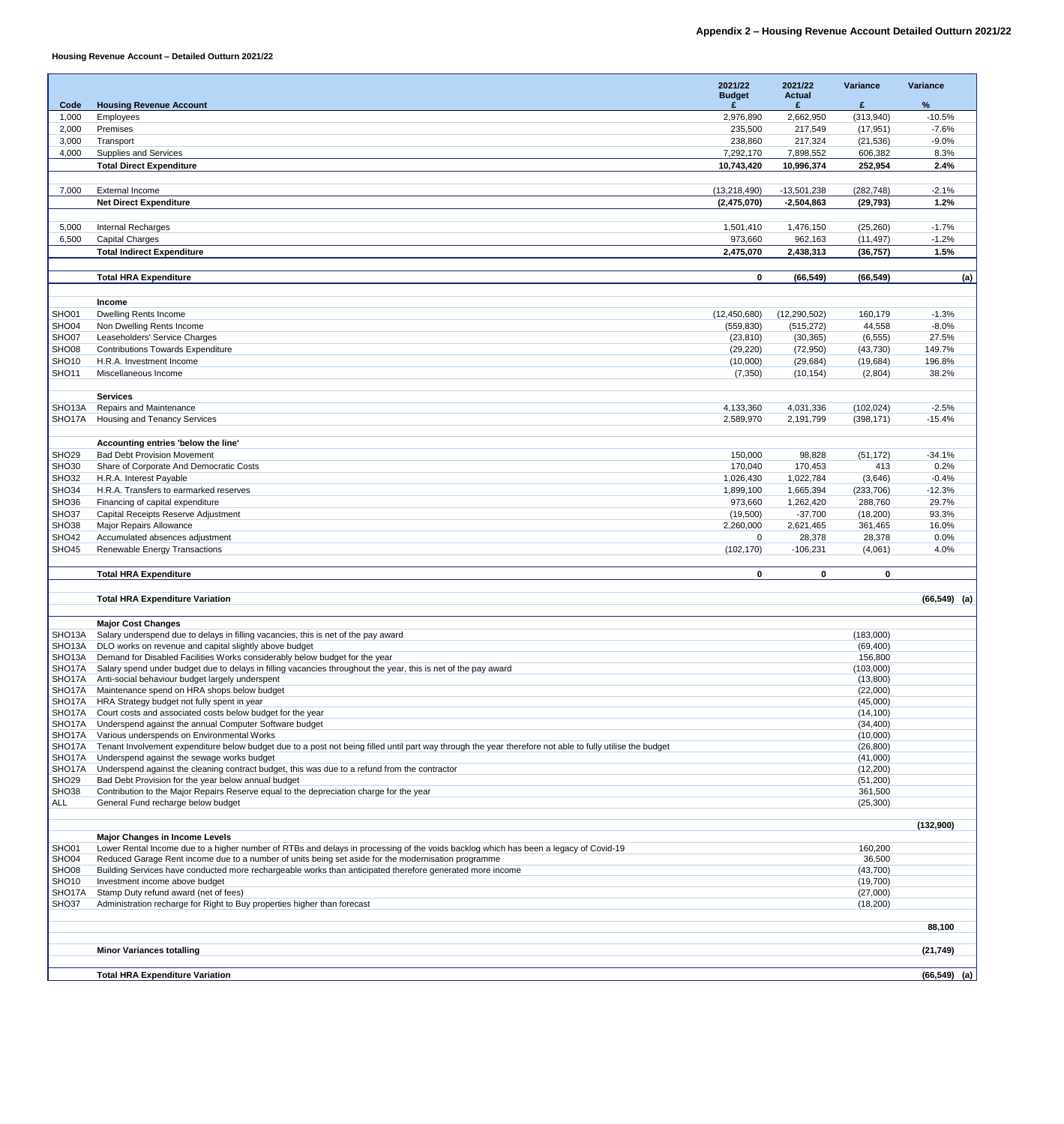## **Housing Revenue Account – Detailed Outturn 2021/22**

|                                            |                                                                                                                                                                                                                                             | 2021/22                 | 2021/22<br><b>Actual</b> | Variance               | <b>Variance</b>   |
|--------------------------------------------|---------------------------------------------------------------------------------------------------------------------------------------------------------------------------------------------------------------------------------------------|-------------------------|--------------------------|------------------------|-------------------|
| Code                                       | <b>Housing Revenue Account</b>                                                                                                                                                                                                              | <b>Budget</b>           |                          | £                      | $\frac{9}{6}$     |
| 1,000                                      | Employees                                                                                                                                                                                                                                   | 2,976,890               | 2,662,950                | (313,940)              | $-10.5%$          |
| 2,000                                      | Premises                                                                                                                                                                                                                                    | 235,500                 | 217,549                  | (17, 951)              | $-7.6%$           |
| 3,000                                      | Transport                                                                                                                                                                                                                                   | 238,860                 | 217,324                  | (21, 536)              | $-9.0%$           |
| 4,000                                      | <b>Supplies and Services</b>                                                                                                                                                                                                                | 7,292,170               | 7,898,552                | 606,382                | 8.3%              |
|                                            | <b>Total Direct Expenditure</b>                                                                                                                                                                                                             | 10,743,420              | 10,996,374               | 252,954                | 2.4%              |
|                                            |                                                                                                                                                                                                                                             |                         |                          |                        |                   |
| 7,000                                      | <b>External Income</b>                                                                                                                                                                                                                      | (13, 218, 490)          | $-13,501,238$            | (282, 748)             | $-2.1%$<br>1.2%   |
|                                            | <b>Net Direct Expenditure</b>                                                                                                                                                                                                               | (2,475,070)             | $-2,504,863$             | (29, 793)              |                   |
| 5,000                                      | <b>Internal Recharges</b>                                                                                                                                                                                                                   | 1,501,410               | 1,476,150                | (25, 260)              | $-1.7%$           |
| 6,500                                      | <b>Capital Charges</b>                                                                                                                                                                                                                      | 973,660                 | 962,163                  | (11, 497)              | $-1.2%$           |
|                                            | <b>Total Indirect Expenditure</b>                                                                                                                                                                                                           | 2,475,070               | 2,438,313                | (36, 757)              | 1.5%              |
|                                            |                                                                                                                                                                                                                                             |                         |                          |                        |                   |
|                                            | <b>Total HRA Expenditure</b>                                                                                                                                                                                                                | $\mathbf{0}$            | (66, 549)                | (66, 549)              | (a)               |
|                                            |                                                                                                                                                                                                                                             |                         |                          |                        |                   |
|                                            | <b>Income</b>                                                                                                                                                                                                                               |                         |                          |                        |                   |
| SHO01                                      | <b>Dwelling Rents Income</b>                                                                                                                                                                                                                | (12, 450, 680)          | (12, 290, 502)           | 160,179                | $-1.3%$           |
| SHO04<br>SHO07                             | Non Dwelling Rents Income<br>Leaseholders' Service Charges                                                                                                                                                                                  | (559, 830)<br>(23, 810) | (515, 272)<br>(30, 365)  | 44,558<br>(6, 555)     | $-8.0\%$<br>27.5% |
| SHO08                                      | <b>Contributions Towards Expenditure</b>                                                                                                                                                                                                    | (29, 220)               | (72, 950)                | (43, 730)              | 149.7%            |
| SHO <sub>10</sub>                          | H.R.A. Investment Income                                                                                                                                                                                                                    | (10,000)                | (29, 684)                | (19, 684)              | 196.8%            |
| <b>SHO11</b>                               | Miscellaneous Income                                                                                                                                                                                                                        | (7, 350)                | (10, 154)                | (2,804)                | 38.2%             |
|                                            |                                                                                                                                                                                                                                             |                         |                          |                        |                   |
|                                            | <b>Services</b>                                                                                                                                                                                                                             |                         |                          |                        |                   |
| SHO <sub>13</sub> A                        | <b>Repairs and Maintenance</b>                                                                                                                                                                                                              | 4,133,360               | 4,031,336                | (102, 024)             | $-2.5%$           |
| SHO17A                                     | <b>Housing and Tenancy Services</b>                                                                                                                                                                                                         | 2,589,970               | 2,191,799                | (398, 171)             | $-15.4%$          |
|                                            | Accounting entries 'below the line'                                                                                                                                                                                                         |                         |                          |                        |                   |
| SHO <sub>29</sub>                          | <b>Bad Debt Provision Movement</b>                                                                                                                                                                                                          | 150,000                 | 98,828                   | (51, 172)              | $-34.1%$          |
| SHO <sub>30</sub>                          | Share of Corporate And Democratic Costs                                                                                                                                                                                                     | 170,040                 | 170,453                  | 413                    | 0.2%              |
| SHO <sub>32</sub>                          | H.R.A. Interest Payable                                                                                                                                                                                                                     | 1,026,430               | 1,022,784                | (3,646)                | $-0.4%$           |
| SHO <sub>34</sub>                          | H.R.A. Transfers to earmarked reserves                                                                                                                                                                                                      | 1,899,100               | 1,665,394                | (233, 706)             | $-12.3%$          |
| SHO <sub>36</sub>                          | Financing of capital expenditure                                                                                                                                                                                                            | 973,660                 | 1,262,420                | 288,760                | 29.7%             |
| SHO37                                      | <b>Capital Receipts Reserve Adjustment</b>                                                                                                                                                                                                  | (19,500)                | $-37,700$                | (18,200)               | 93.3%             |
| SHO <sub>38</sub>                          | <b>Major Repairs Allowance</b>                                                                                                                                                                                                              | 2,260,000               | 2,621,465                | 361,465                | 16.0%             |
| <b>SHO42</b><br>SHO <sub>45</sub>          | Accumulated absences adjustment<br><b>Renewable Energy Transactions</b>                                                                                                                                                                     | 0<br>(102, 170)         | 28,378<br>$-106,231$     | 28,378<br>(4,061)      | $0.0\%$<br>4.0%   |
|                                            |                                                                                                                                                                                                                                             |                         |                          |                        |                   |
|                                            | <b>Total HRA Expenditure</b>                                                                                                                                                                                                                | $\mathbf 0$             | $\mathbf 0$              | $\mathbf 0$            |                   |
|                                            |                                                                                                                                                                                                                                             |                         |                          |                        |                   |
|                                            | <b>Total HRA Expenditure Variation</b>                                                                                                                                                                                                      |                         |                          |                        | $(66, 549)$ (a)   |
|                                            |                                                                                                                                                                                                                                             |                         |                          |                        |                   |
|                                            | <b>Major Cost Changes</b>                                                                                                                                                                                                                   |                         |                          |                        |                   |
| SHO <sub>13</sub> A<br>SHO <sub>13</sub> A | Salary underspend due to delays in filling vacancies, this is net of the pay award<br>DLO works on revenue and capital slightly above budget                                                                                                |                         |                          | (183,000)<br>(69, 400) |                   |
| SHO <sub>13</sub> A                        | Demand for Disabled Facilities Works considerably below budget for the year                                                                                                                                                                 |                         |                          | 156,800                |                   |
| SHO17A                                     | Salary spend under budget due to delays in filling vacancies throughout the year, this is net of the pay award                                                                                                                              |                         |                          | (103,000)              |                   |
| SHO17A                                     | Anti-social behaviour budget largely underspent                                                                                                                                                                                             |                         |                          | (13,800)               |                   |
| SHO17A                                     | Maintenance spend on HRA shops below budget                                                                                                                                                                                                 |                         |                          | (22,000)               |                   |
| SHO17A                                     | HRA Strategy budget not fully spent in year<br>SHO17A Court costs and associated costs below budget for the year                                                                                                                            |                         |                          | (45,000)<br>(14, 100)  |                   |
| SHO17A                                     | Underspend against the annual Computer Software budget                                                                                                                                                                                      |                         |                          | (34, 400)              |                   |
| SHO17A                                     | Various underspends on Environmental Works                                                                                                                                                                                                  |                         |                          | (10,000)               |                   |
| SHO17A                                     | Tenant Involvement expenditure below budget due to a post not being filled until part way through the year therefore not able to fully utilise the budget                                                                                   |                         |                          | (26, 800)              |                   |
| SHO17A                                     | Underspend against the sewage works budget                                                                                                                                                                                                  |                         |                          | (41,000)               |                   |
| SHO17A                                     | Underspend against the cleaning contract budget, this was due to a refund from the contractor                                                                                                                                               |                         |                          | (12,200)               |                   |
| SHO <sub>29</sub><br>SHO38                 | Bad Debt Provision for the year below annual budget<br>Contribution to the Major Repairs Reserve equal to the depreciation charge for the year                                                                                              |                         |                          | (51, 200)<br>361,500   |                   |
| <b>ALL</b>                                 | General Fund recharge below budget                                                                                                                                                                                                          |                         |                          | (25,300)               |                   |
|                                            |                                                                                                                                                                                                                                             |                         |                          |                        |                   |
|                                            |                                                                                                                                                                                                                                             |                         |                          |                        | (132,900)         |
|                                            | <b>Major Changes in Income Levels</b>                                                                                                                                                                                                       |                         |                          |                        |                   |
| SHO01<br>SHO <sub>04</sub>                 | Lower Rental Income due to a higher number of RTBs and delays in processing of the voids backlog which has been a legacy of Covid-19<br>Reduced Garage Rent income due to a number of units being set aside for the modernisation programme |                         |                          | 160,200<br>36,500      |                   |
| SHO08                                      | Building Services have conducted more rechargeable works than anticipated therefore generated more income                                                                                                                                   |                         |                          | (43,700)               |                   |
| SHO <sub>10</sub>                          | Investment income above budget                                                                                                                                                                                                              |                         |                          | (19,700)               |                   |
| SHO17A                                     | Stamp Duty refund award (net of fees)                                                                                                                                                                                                       |                         |                          | (27,000)               |                   |
| SHO <sub>37</sub>                          | Administration recharge for Right to Buy properties higher than forecast                                                                                                                                                                    |                         |                          | (18,200)               |                   |
|                                            |                                                                                                                                                                                                                                             |                         |                          |                        | 88,100            |
|                                            |                                                                                                                                                                                                                                             |                         |                          |                        |                   |
|                                            | <b>Minor Variances totalling</b>                                                                                                                                                                                                            |                         |                          |                        | (21, 749)         |
|                                            |                                                                                                                                                                                                                                             |                         |                          |                        |                   |
|                                            | <b>Total HRA Expenditure Variation</b>                                                                                                                                                                                                      |                         |                          |                        | $(66, 549)$ (a)   |